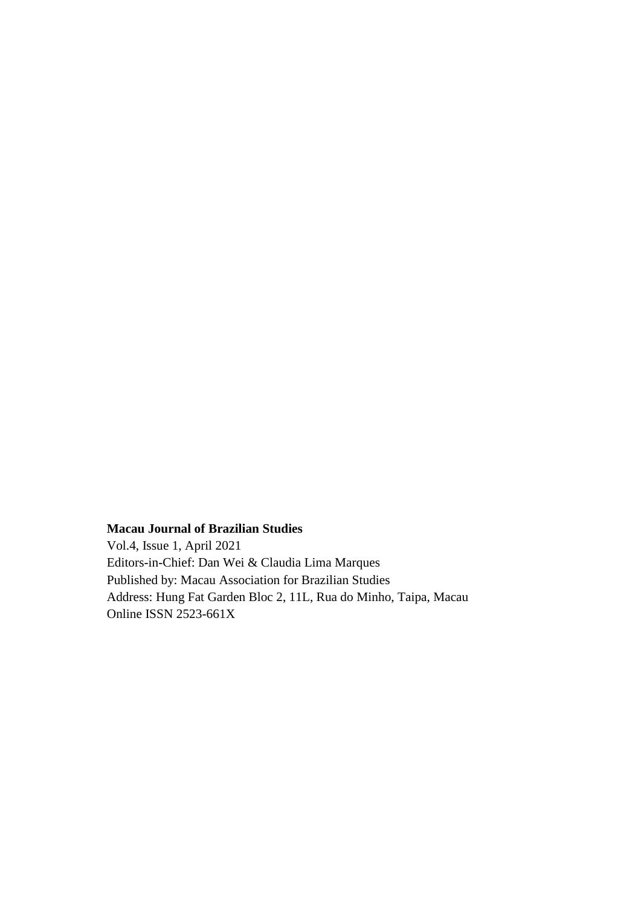## **Macau Journal of Brazilian Studies**

Vol.4, Issue 1, April 2021 Editors-in-Chief: Dan Wei & Claudia Lima Marques Published by: Macau Association for Brazilian Studies Address: Hung Fat Garden Bloc 2, 11L, Rua do Minho, Taipa, Macau Online ISSN 2523-661X